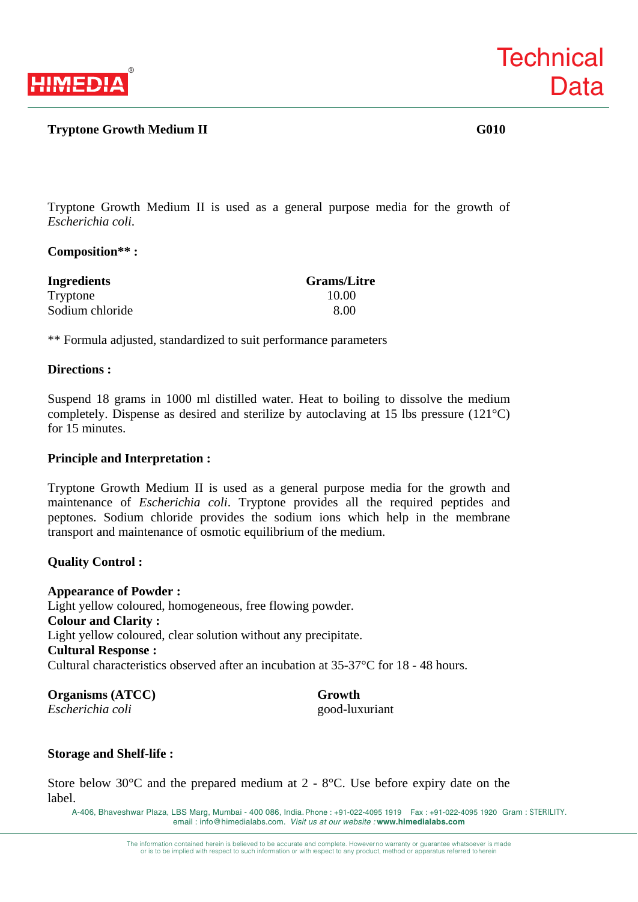

# **Tryptone Growth Medium II** G010

**Technical** 

**Data** 

Tryptone Growth Medium II is used as a general purpose media for the growth of *Escherichia coli*.

### **Composition\*\* :**

| <b>Ingredients</b> | <b>Grams/Litre</b> |
|--------------------|--------------------|
| Tryptone           | 10.00              |
| Sodium chloride    | 8.00               |

\*\* Formula adjusted, standardized to suit performance parameters

#### **Directions :**

Suspend 18 grams in 1000 ml distilled water. Heat to boiling to dissolve the medium completely. Dispense as desired and sterilize by autoclaving at 15 lbs pressure (121°C) for 15 minutes.

### **Principle and Interpretation :**

Tryptone Growth Medium II is used as a general purpose media for the growth and maintenance of *Escherichia coli*. Tryptone provides all the required peptides and peptones. Sodium chloride provides the sodium ions which help in the membrane transport and maintenance of osmotic equilibrium of the medium.

### **Quality Control :**

#### **Appearance of Powder :**

Light yellow coloured, homogeneous, free flowing powder. **Colour and Clarity :**  Light yellow coloured, clear solution without any precipitate. **Cultural Response :**  Cultural characteristics observed after an incubation at 35-37°C for 18 - 48 hours.

**Organisms (ATCC) Growth** *Escherichia coli* good-luxuriant

### **Storage and Shelf-life :**

Store below 30°C and the prepared medium at 2 - 8°C. Use before expiry date on the label.

A-406, Bhaveshwar Plaza, LBS Marg, Mumbai - 400 086, India. Phone : +91-022-4095 1919 Fax : +91-022-4095 1920 Gram : STERILITY. email : info@himedialabs.com. *Visit us at our website :* **www.himedialabs.com**